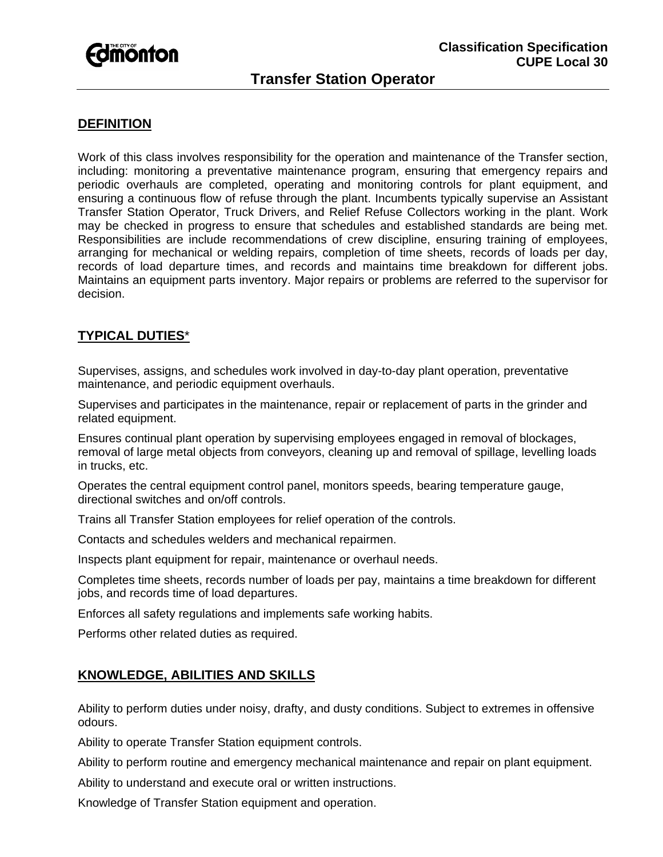

# **Transfer Station Operator**

## **DEFINITION**

Work of this class involves responsibility for the operation and maintenance of the Transfer section, including: monitoring a preventative maintenance program, ensuring that emergency repairs and periodic overhauls are completed, operating and monitoring controls for plant equipment, and ensuring a continuous flow of refuse through the plant. Incumbents typically supervise an Assistant Transfer Station Operator, Truck Drivers, and Relief Refuse Collectors working in the plant. Work may be checked in progress to ensure that schedules and established standards are being met. Responsibilities are include recommendations of crew discipline, ensuring training of employees, arranging for mechanical or welding repairs, completion of time sheets, records of loads per day, records of load departure times, and records and maintains time breakdown for different jobs. Maintains an equipment parts inventory. Major repairs or problems are referred to the supervisor for decision.

## **TYPICAL DUTIES**\*

Supervises, assigns, and schedules work involved in day-to-day plant operation, preventative maintenance, and periodic equipment overhauls.

Supervises and participates in the maintenance, repair or replacement of parts in the grinder and related equipment.

Ensures continual plant operation by supervising employees engaged in removal of blockages, removal of large metal objects from conveyors, cleaning up and removal of spillage, levelling loads in trucks, etc.

Operates the central equipment control panel, monitors speeds, bearing temperature gauge, directional switches and on/off controls.

Trains all Transfer Station employees for relief operation of the controls.

Contacts and schedules welders and mechanical repairmen.

Inspects plant equipment for repair, maintenance or overhaul needs.

Completes time sheets, records number of loads per pay, maintains a time breakdown for different jobs, and records time of load departures.

Enforces all safety regulations and implements safe working habits.

Performs other related duties as required.

## **KNOWLEDGE, ABILITIES AND SKILLS**

Ability to perform duties under noisy, drafty, and dusty conditions. Subject to extremes in offensive odours.

Ability to operate Transfer Station equipment controls.

Ability to perform routine and emergency mechanical maintenance and repair on plant equipment.

Ability to understand and execute oral or written instructions.

Knowledge of Transfer Station equipment and operation.